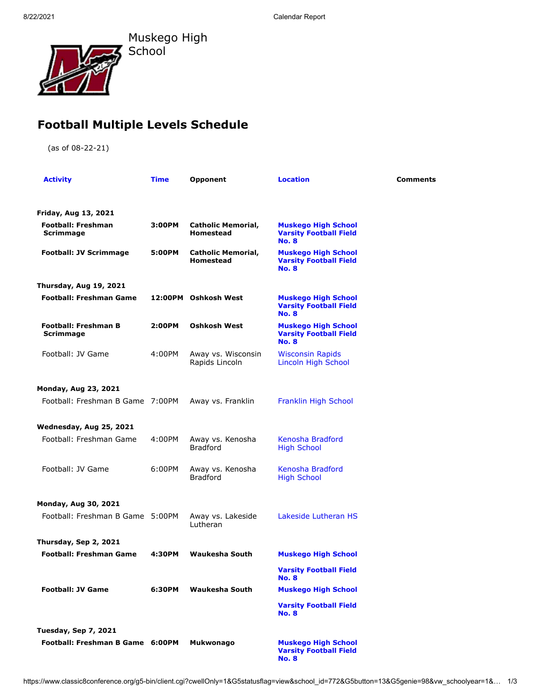Muskego High School

## **Football Multiple Levels Schedule**

(as of 08-22-21)

| <b>Activity</b>                          | Time   | <b>Opponent</b>                               | <b>Location</b>                                                             | Comments |
|------------------------------------------|--------|-----------------------------------------------|-----------------------------------------------------------------------------|----------|
| Friday, Aug 13, 2021                     |        |                                               |                                                                             |          |
| <b>Football: Freshman</b><br>Scrimmage   | 3:00PM | <b>Catholic Memorial,</b><br>Homestead        | <b>Muskego High School</b><br><b>Varsity Football Field</b><br><b>No. 8</b> |          |
| <b>Football: JV Scrimmage</b>            | 5:00PM | <b>Catholic Memorial,</b><br><b>Homestead</b> | <b>Muskego High School</b><br><b>Varsity Football Field</b><br><b>No. 8</b> |          |
| Thursday, Aug 19, 2021                   |        |                                               |                                                                             |          |
| <b>Football: Freshman Game</b>           |        | 12:00PM Oshkosh West                          | <b>Muskego High School</b><br><b>Varsity Football Field</b><br><b>No. 8</b> |          |
| <b>Football: Freshman B</b><br>Scrimmage | 2:00PM | <b>Oshkosh West</b>                           | <b>Muskego High School</b><br><b>Varsity Football Field</b><br><b>No. 8</b> |          |
| Football: JV Game                        | 4:00PM | Away vs. Wisconsin<br>Rapids Lincoln          | <b>Wisconsin Rapids</b><br>Lincoln High School                              |          |
| <b>Monday, Aug 23, 2021</b>              |        |                                               |                                                                             |          |
| Football: Freshman B Game 7:00PM         |        | Away vs. Franklin                             | Franklin High School                                                        |          |
| Wednesday, Aug 25, 2021                  |        |                                               |                                                                             |          |
| Football: Freshman Game                  | 4:00PM | Away vs. Kenosha<br><b>Bradford</b>           | Kenosha Bradford<br><b>High School</b>                                      |          |
| Football: JV Game                        | 6:00PM | Away vs. Kenosha<br><b>Bradford</b>           | Kenosha Bradford<br><b>High School</b>                                      |          |
| <b>Monday, Aug 30, 2021</b>              |        |                                               |                                                                             |          |
| Football: Freshman B Game 5:00PM         |        | Away vs. Lakeside<br>Lutheran                 | Lakeside Lutheran HS                                                        |          |
| Thursday, Sep 2, 2021                    |        |                                               |                                                                             |          |
| <b>Football: Freshman Game</b>           | 4:30PM | <b>Waukesha South</b>                         | <b>Muskego High School</b>                                                  |          |
|                                          |        |                                               | <b>Varsity Football Field</b><br><b>No. 8</b>                               |          |
| <b>Football: JV Game</b>                 | 6:30PM | <b>Waukesha South</b>                         | <b>Muskego High School</b>                                                  |          |
|                                          |        |                                               | <b>Varsity Football Field</b><br><b>No. 8</b>                               |          |
| <b>Tuesday, Sep 7, 2021</b>              |        |                                               |                                                                             |          |
| Football: Freshman B Game 6:00PM         |        | Mukwonago                                     | <b>Muskego High School</b><br><b>Varsity Football Field</b>                 |          |

**No. 8**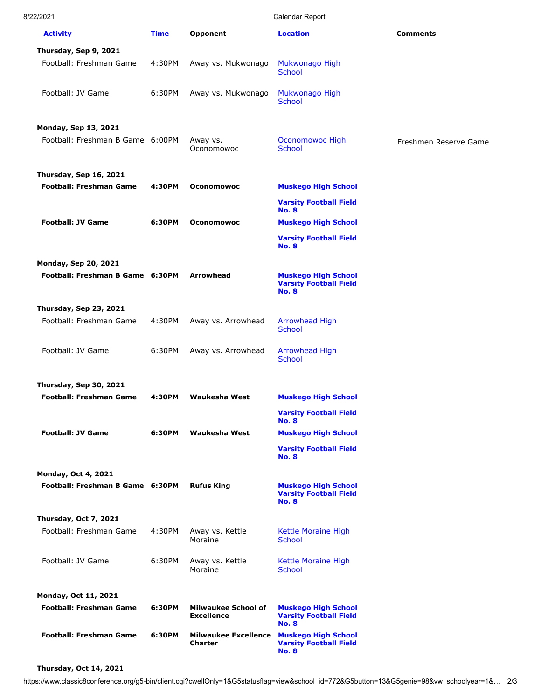| 8/22/2021 |
|-----------|
|           |

Calendar Report

| <b>Activity</b>                                                 | <b>Time</b> | Opponent                                                   | <b>Location</b>                                                             | <b>Comments</b>       |
|-----------------------------------------------------------------|-------------|------------------------------------------------------------|-----------------------------------------------------------------------------|-----------------------|
| Thursday, Sep 9, 2021                                           |             |                                                            |                                                                             |                       |
| Football: Freshman Game                                         | 4:30PM      | Away vs. Mukwonago                                         | Mukwonago High<br><b>School</b>                                             |                       |
| Football: JV Game                                               | 6:30PM      | Away vs. Mukwonago                                         | Mukwonago High<br><b>School</b>                                             |                       |
|                                                                 |             |                                                            |                                                                             |                       |
| <b>Monday, Sep 13, 2021</b><br>Football: Freshman B Game 6:00PM |             | Away vs.<br>Oconomowoc                                     | Oconomowoc High<br><b>School</b>                                            | Freshmen Reserve Game |
| Thursday, Sep 16, 2021                                          |             |                                                            |                                                                             |                       |
| <b>Football: Freshman Game</b>                                  | 4:30PM      | <b>Oconomowoc</b>                                          | <b>Muskego High School</b>                                                  |                       |
|                                                                 |             |                                                            | <b>Varsity Football Field</b><br><b>No. 8</b>                               |                       |
| <b>Football: JV Game</b>                                        | 6:30PM      | <b>Oconomowoc</b>                                          | <b>Muskego High School</b>                                                  |                       |
|                                                                 |             |                                                            | <b>Varsity Football Field</b><br><b>No. 8</b>                               |                       |
| <b>Monday, Sep 20, 2021</b><br>Football: Freshman B Game 6:30PM |             | <b>Arrowhead</b>                                           | <b>Muskego High School</b><br><b>Varsity Football Field</b><br><b>No. 8</b> |                       |
| Thursday, Sep 23, 2021                                          |             |                                                            |                                                                             |                       |
| Football: Freshman Game                                         | 4:30PM      | Away vs. Arrowhead                                         | <b>Arrowhead High</b><br><b>School</b>                                      |                       |
| Football: JV Game                                               | 6:30PM      | Away vs. Arrowhead                                         | <b>Arrowhead High</b><br><b>School</b>                                      |                       |
|                                                                 |             |                                                            |                                                                             |                       |
| Thursday, Sep 30, 2021<br><b>Football: Freshman Game</b>        | 4:30PM      | Waukesha West                                              | <b>Muskego High School</b>                                                  |                       |
|                                                                 |             |                                                            | <b>Varsity Football Field</b>                                               |                       |
| <b>Football: JV Game</b>                                        | 6:30PM      | <b>Waukesha West</b>                                       | <b>No. 8</b><br><b>Muskego High School</b>                                  |                       |
|                                                                 |             |                                                            | <b>Varsity Football Field</b><br><b>No. 8</b>                               |                       |
| <b>Monday, Oct 4, 2021</b><br>Football: Freshman B Game 6:30PM  |             | <b>Rufus King</b>                                          | <b>Muskego High School</b><br><b>Varsity Football Field</b><br><b>No. 8</b> |                       |
| Thursday, Oct 7, 2021                                           |             |                                                            |                                                                             |                       |
| Football: Freshman Game                                         | 4:30PM      | Away vs. Kettle<br>Moraine                                 | Kettle Moraine High<br><b>School</b>                                        |                       |
| Football: JV Game                                               | 6:30PM      | Away vs. Kettle<br>Moraine                                 | Kettle Moraine High<br><b>School</b>                                        |                       |
|                                                                 |             |                                                            |                                                                             |                       |
| Monday, Oct 11, 2021<br><b>Football: Freshman Game</b>          | 6:30PM      | <b>Milwaukee School of</b><br><b>Excellence</b>            | <b>Muskego High School</b><br><b>Varsity Football Field</b><br><b>No. 8</b> |                       |
| <b>Football: Freshman Game</b>                                  | 6:30PM      | Milwaukee Excellence Muskego High School<br><b>Charter</b> | <b>Varsity Football Field</b><br><b>No. 8</b>                               |                       |

## **Thursday, Oct 14, 2021**